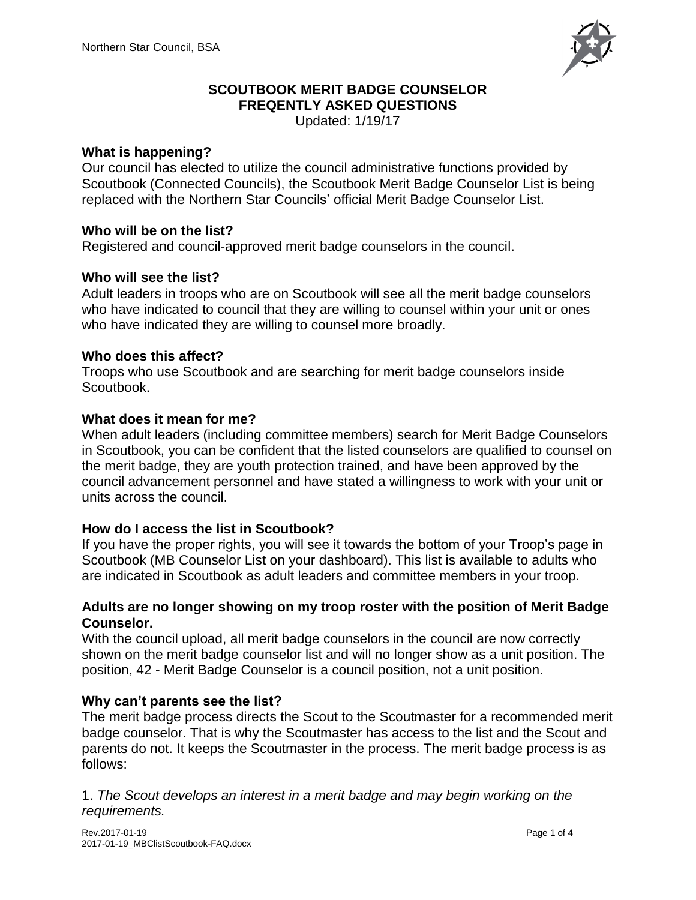

# **SCOUTBOOK MERIT BADGE COUNSELOR FREQENTLY ASKED QUESTIONS**

Updated: 1/19/17

# **What is happening?**

Our council has elected to utilize the council administrative functions provided by Scoutbook (Connected Councils), the Scoutbook Merit Badge Counselor List is being replaced with the Northern Star Councils' official Merit Badge Counselor List.

# **Who will be on the list?**

Registered and council-approved merit badge counselors in the council.

# **Who will see the list?**

Adult leaders in troops who are on Scoutbook will see all the merit badge counselors who have indicated to council that they are willing to counsel within your unit or ones who have indicated they are willing to counsel more broadly.

# **Who does this affect?**

Troops who use Scoutbook and are searching for merit badge counselors inside Scoutbook.

### **What does it mean for me?**

When adult leaders (including committee members) search for Merit Badge Counselors in Scoutbook, you can be confident that the listed counselors are qualified to counsel on the merit badge, they are youth protection trained, and have been approved by the council advancement personnel and have stated a willingness to work with your unit or units across the council.

### **How do I access the list in Scoutbook?**

If you have the proper rights, you will see it towards the bottom of your Troop's page in Scoutbook (MB Counselor List on your dashboard). This list is available to adults who are indicated in Scoutbook as adult leaders and committee members in your troop.

### **Adults are no longer showing on my troop roster with the position of Merit Badge Counselor.**

With the council upload, all merit badge counselors in the council are now correctly shown on the merit badge counselor list and will no longer show as a unit position. The position, 42 - Merit Badge Counselor is a council position, not a unit position.

# **Why can't parents see the list?**

The merit badge process directs the Scout to the Scoutmaster for a recommended merit badge counselor. That is why the Scoutmaster has access to the list and the Scout and parents do not. It keeps the Scoutmaster in the process. The merit badge process is as follows:

1. *The Scout develops an interest in a merit badge and may begin working on the requirements.*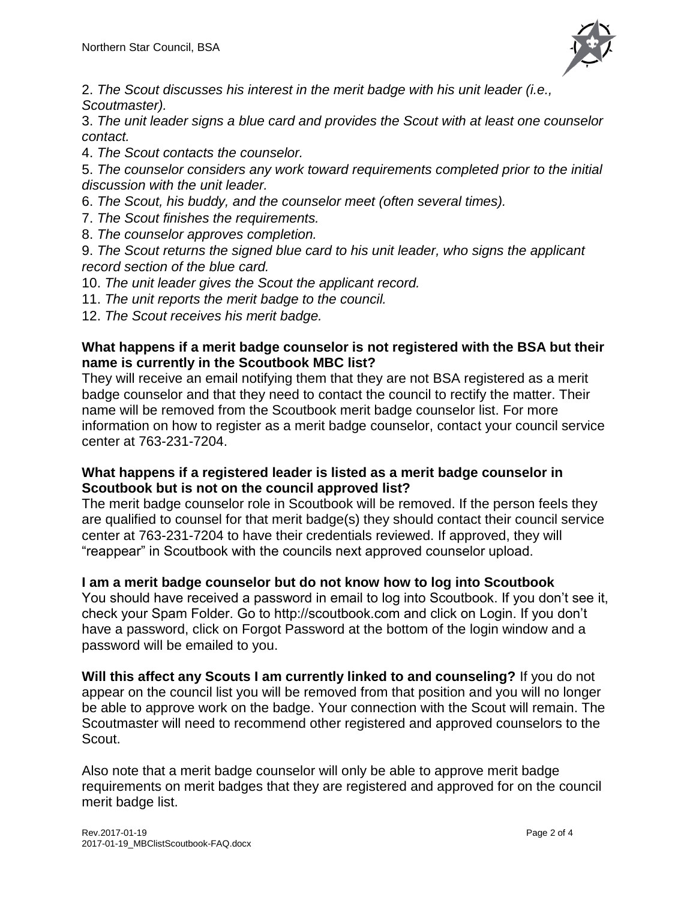

2. *The Scout discusses his interest in the merit badge with his unit leader (i.e., Scoutmaster).* 

3. *The unit leader signs a blue card and provides the Scout with at least one counselor contact.* 

4. *The Scout contacts the counselor.* 

5. *The counselor considers any work toward requirements completed prior to the initial discussion with the unit leader.* 

- 6. *The Scout, his buddy, and the counselor meet (often several times).*
- 7. *The Scout finishes the requirements.*
- 8. *The counselor approves completion.*

9. *The Scout returns the signed blue card to his unit leader, who signs the applicant record section of the blue card.* 

- 10. *The unit leader gives the Scout the applicant record.*
- 11. *The unit reports the merit badge to the council.*
- 12. *The Scout receives his merit badge.*

# **What happens if a merit badge counselor is not registered with the BSA but their name is currently in the Scoutbook MBC list?**

They will receive an email notifying them that they are not BSA registered as a merit badge counselor and that they need to contact the council to rectify the matter. Their name will be removed from the Scoutbook merit badge counselor list. For more information on how to register as a merit badge counselor, contact your council service center at 763-231-7204.

### **What happens if a registered leader is listed as a merit badge counselor in Scoutbook but is not on the council approved list?**

The merit badge counselor role in Scoutbook will be removed. If the person feels they are qualified to counsel for that merit badge(s) they should contact their council service center at 763-231-7204 to have their credentials reviewed. If approved, they will "reappear" in Scoutbook with the councils next approved counselor upload.

# **I am a merit badge counselor but do not know how to log into Scoutbook**

You should have received a password in email to log into Scoutbook. If you don't see it, check your Spam Folder. Go to http://scoutbook.com and click on Login. If you don't have a password, click on Forgot Password at the bottom of the login window and a password will be emailed to you.

**Will this affect any Scouts I am currently linked to and counseling?** If you do not appear on the council list you will be removed from that position and you will no longer be able to approve work on the badge. Your connection with the Scout will remain. The Scoutmaster will need to recommend other registered and approved counselors to the Scout.

Also note that a merit badge counselor will only be able to approve merit badge requirements on merit badges that they are registered and approved for on the council merit badge list.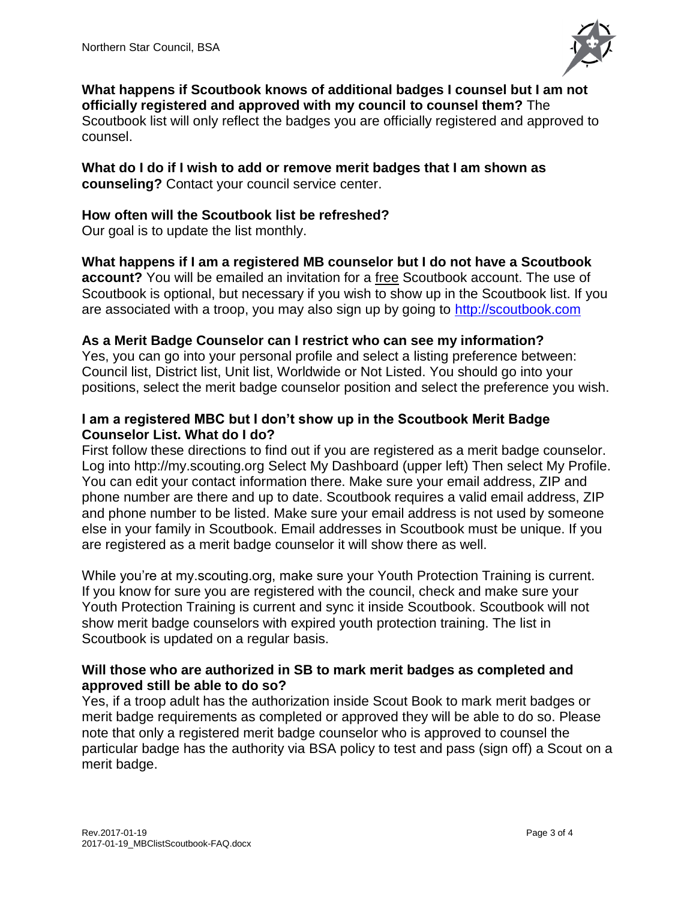

**What happens if Scoutbook knows of additional badges I counsel but I am not officially registered and approved with my council to counsel them?** The Scoutbook list will only reflect the badges you are officially registered and approved to counsel.

**What do I do if I wish to add or remove merit badges that I am shown as counseling?** Contact your council service center.

### **How often will the Scoutbook list be refreshed?**

Our goal is to update the list monthly.

**What happens if I am a registered MB counselor but I do not have a Scoutbook account?** You will be emailed an invitation for a free Scoutbook account. The use of Scoutbook is optional, but necessary if you wish to show up in the Scoutbook list. If you are associated with a troop, you may also sign up by going to [http://scoutbook.com](http://scoutbook.com/)

# **As a Merit Badge Counselor can I restrict who can see my information?**

Yes, you can go into your personal profile and select a listing preference between: Council list, District list, Unit list, Worldwide or Not Listed. You should go into your positions, select the merit badge counselor position and select the preference you wish.

### **I am a registered MBC but I don't show up in the Scoutbook Merit Badge Counselor List. What do I do?**

First follow these directions to find out if you are registered as a merit badge counselor. Log into http://my.scouting.org Select My Dashboard (upper left) Then select My Profile. You can edit your contact information there. Make sure your email address, ZIP and phone number are there and up to date. Scoutbook requires a valid email address, ZIP and phone number to be listed. Make sure your email address is not used by someone else in your family in Scoutbook. Email addresses in Scoutbook must be unique. If you are registered as a merit badge counselor it will show there as well.

While you're at my. scouting.org, make sure your Youth Protection Training is current. If you know for sure you are registered with the council, check and make sure your Youth Protection Training is current and sync it inside Scoutbook. Scoutbook will not show merit badge counselors with expired youth protection training. The list in Scoutbook is updated on a regular basis.

### **Will those who are authorized in SB to mark merit badges as completed and approved still be able to do so?**

Yes, if a troop adult has the authorization inside Scout Book to mark merit badges or merit badge requirements as completed or approved they will be able to do so. Please note that only a registered merit badge counselor who is approved to counsel the particular badge has the authority via BSA policy to test and pass (sign off) a Scout on a merit badge.